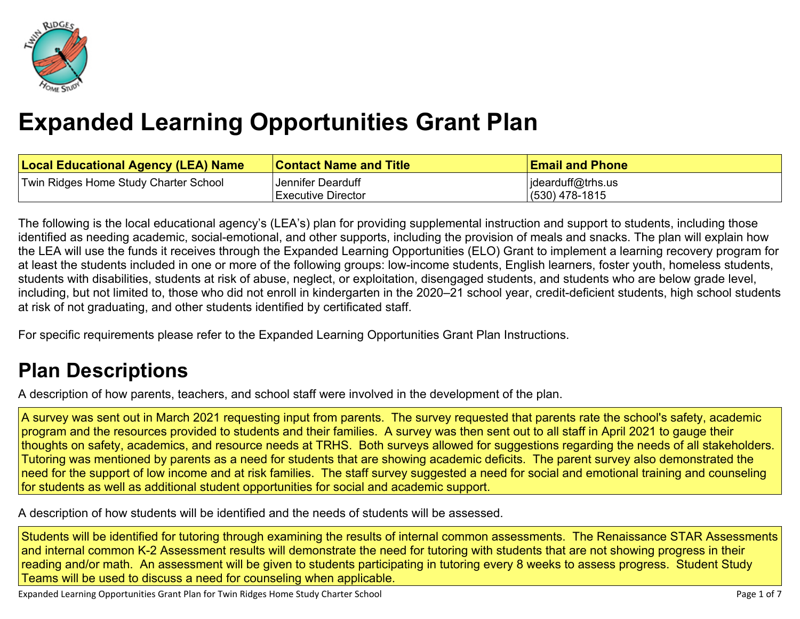

# **Expanded Learning [Opportunities](#page-3-0) Grant Plan**

| <b>Local Educational Agency (LEA) Name</b> | <b>Contact Name and Title</b> | <b>Email and Phone</b> |
|--------------------------------------------|-------------------------------|------------------------|
| Twin Ridges Home Study Charter School      | Jennifer Dearduff             | jdearduff@trhs.us      |
|                                            | Executive Director            | $(530)$ 478-1815       |

The following is the local educational agency's (LEA's) plan for providing supplemental instruction and support to students, including those identified as needing academic, social-emotional, and other supports, including the provision of meals and snacks. The plan will explain how the LEA will use the funds it receives through the Expanded Learning Opportunities (ELO) Grant to implement a learning recovery program for at least the students included in one or more of the following groups: low-income students, English learners, foster youth, homeless students, students with disabilities, students at risk of abuse, neglect, or exploitation, disengaged students, and students who are below grade level, including, but not limited to, those who did not enroll in kindergarten in the 2020–21 school year, credit-deficient students, high school students at risk of not graduating, and other students identified by certificated staff.

For specific requirements please refer to the Expanded Learning Opportunities Grant Plan Instructions.

# **Plan [Descriptions](#page-5-0)**

A description of how parents, teachers, and school staff were involved in the [development](#page-5-1) of the plan.

A survey was sent out in March 2021 requesting input from parents. The survey requested that parents rate the school's safety, academic program and the resources provided to students and their families. A survey was then sent out to all staff in April 2021 to gauge their thoughts on safety, academics, and resource needs at TRHS. Both surveys allowed for suggestions regarding the needs of all stakeholders. Tutoring was mentioned by parents as a need for students that are showing academic deficits. The parent survey also demonstrated the need for the support of low income and at risk families. The staff survey suggested a need for social and emotional training and counseling for students as well as additional student opportunities for social and academic support.

A [description](#page-5-2) of how students will be identified and the needs of students will be assessed[.](#page-5-2)

Students will be identified for tutoring through examining the results of internal common assessments. The Renaissance STAR Assessments and internal common K-2 Assessment results will demonstrate the need for tutoring with students that are not showing progress in their reading and/or math. An assessment will be given to students participating in tutoring every 8 weeks to assess progress. Student Study Teams will be used to discuss a need for counseling when applicable.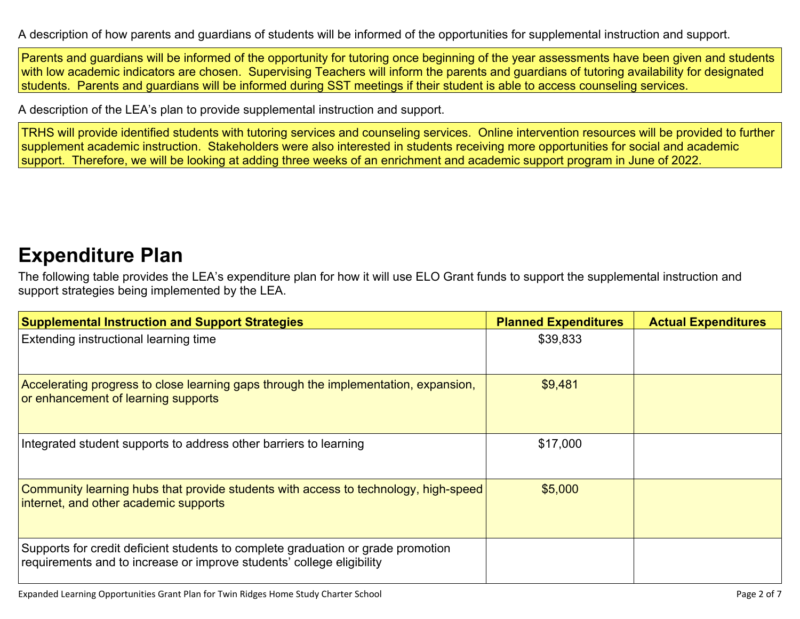A description of how parents and guardians of students will be informed of the opportunities for [supplemental](#page-5-3) instruction and support[.](#page-5-3)

Parents and guardians will be informed of the opportunity for tutoring once beginning of the year assessments have been given and students with low academic indicators are chosen. Supervising Teachers will inform the parents and guardians of tutoring availability for designated students. Parents and guardians will be informed during SST meetings if their student is able to access counseling services.

A description of the LEA's plan to provide [supplemental](#page-5-4) instruction and support[.](#page-5-4)

TRHS will provide identified students with tutoring services and counseling services. Online intervention resources will be provided to further supplement academic instruction. Stakeholders were also interested in students receiving more opportunities for social and academic support. Therefore, we will be looking at adding three weeks of an enrichment and academic support program in June of 2022.

### **[Expenditure](#page-6-0) Pla[n](#page-6-0)**

The following table provides the LEA's expenditure plan for how it will use ELO Grant funds to support the supplemental instruction and support strategies being implemented by the LEA.

| <b>Supplemental Instruction and Support Strategies</b>                                                                                                    | <b>Planned Expenditures</b> | <b>Actual Expenditures</b> |
|-----------------------------------------------------------------------------------------------------------------------------------------------------------|-----------------------------|----------------------------|
| Extending instructional learning time                                                                                                                     | \$39,833                    |                            |
| Accelerating progress to close learning gaps through the implementation, expansion,<br>or enhancement of learning supports                                | \$9,481                     |                            |
| Integrated student supports to address other barriers to learning                                                                                         | \$17,000                    |                            |
| Community learning hubs that provide students with access to technology, high-speed<br>internet, and other academic supports                              | \$5,000                     |                            |
| Supports for credit deficient students to complete graduation or grade promotion<br>requirements and to increase or improve students' college eligibility |                             |                            |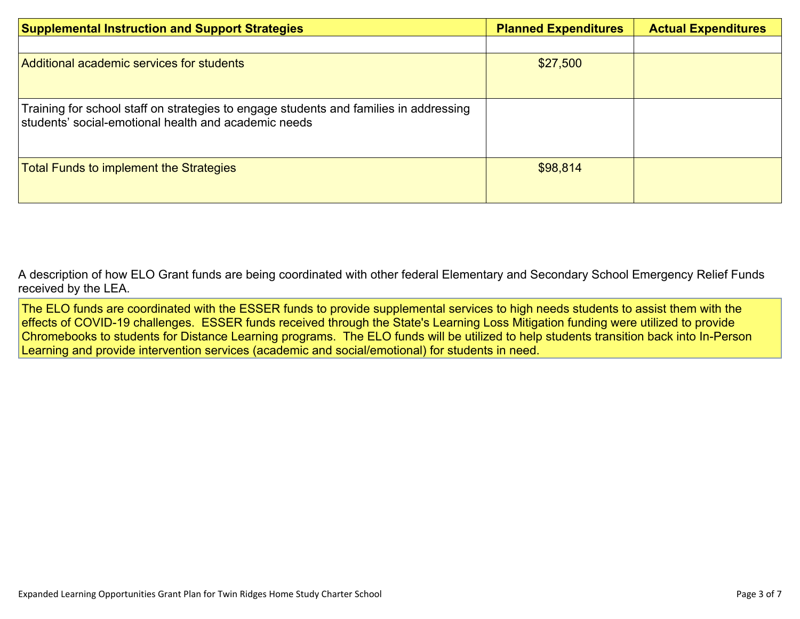| <b>Supplemental Instruction and Support Strategies</b>                                                                                        | <b>Planned Expenditures</b> | <b>Actual Expenditures</b> |
|-----------------------------------------------------------------------------------------------------------------------------------------------|-----------------------------|----------------------------|
|                                                                                                                                               |                             |                            |
| Additional academic services for students                                                                                                     | \$27,500                    |                            |
| Training for school staff on strategies to engage students and families in addressing<br>students' social-emotional health and academic needs |                             |                            |
| <b>Total Funds to implement the Strategies</b>                                                                                                | \$98,814                    |                            |

A description of how [E](#page-6-1)LO Grant funds are being [coordinated](#page-6-1) with other federal Elementary and Secondary School Emergency Relief Funds [received](#page-6-1) by the LEA.

The ELO funds are coordinated with the ESSER funds to provide supplemental services to high needs students to assist them with the effects of COVID-19 challenges. ESSER funds received through the State's Learning Loss Mitigation funding were utilized to provide Chromebooks to students for Distance Learning programs. The ELO funds will be utilized to help students transition back into In-Person Learning and provide intervention services (academic and social/emotional) for students in need.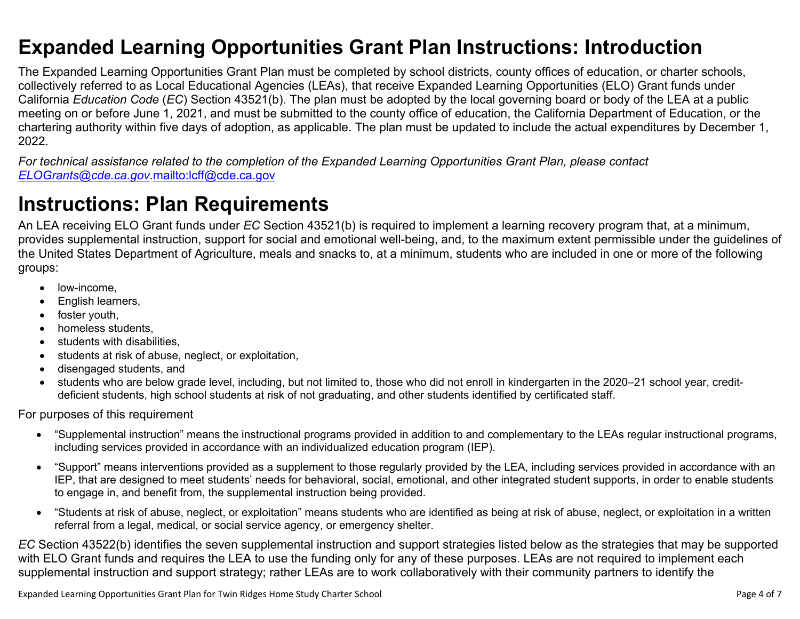### <span id="page-3-0"></span>**Expanded Learning Opportunities Grant Plan Instructions: Introduction**

The Expanded Learning Opportunities Grant Plan must be completed by school districts, county offices of education, or charter schools, collectively referred to as Local Educational Agencies (LEAs), that receive Expanded Learning Opportunities (ELO) Grant funds under California *Education Code* (*EC*) Section 43521(b). The plan must be adopted by the local governing board or body of the LEA at a public meeting on or before June 1, 2021, and must be submitted to the county office of education, the California Department of Education, or the chartering authority within five days of adoption, as applicable. The plan must be updated to include the actual expenditures by December 1, 2022.

For technical assistance related to the completion of the Expanded Learning Opportunities Grant Plan, please contact *[ELOGrants@cde.ca.gov](mailto:ELOGrants@cde.ca.gov).*<mailto:lcff@cde.ca.gov>

## **Instructions: Plan Requirements**

An LEA receiving ELO Grant funds under *EC* Section 43521(b) is required to implement a learning recovery program that, at a minimum, provides supplemental instruction, support for social and emotional well-being, and, to the maximum extent permissible under the guidelines of the United States Department of Agriculture, meals and snacks to, at a minimum, students who are included in one or more of the following groups:

- low-income.
- English learners,
- foster youth,
- homeless students,
- students with disabilities.
- students at risk of abuse, neglect, or exploitation,
- disengaged students, and
- students who are below grade level, including, but not limited to, those who did not enroll in kindergarten in the 2020–21 school year, creditdeficient students, high school students at risk of not graduating, and other students identified by certificated staff.

For purposes of this requirement

- "Supplemental instruction" means the instructional programs provided in addition to and complementary to the LEAs regular instructional programs, including services provided in accordance with an individualized education program (IEP).
- "Support" means interventions provided as a supplement to those regularly provided by the LEA, including services provided in accordance with an IEP, that are designed to meet students' needs for behavioral, social, emotional, and other integrated student supports, in order to enable students to engage in, and benefit from, the supplemental instruction being provided.
- "Students at risk of abuse, neglect, or exploitation" means students who are identified as being at risk of abuse, neglect, or exploitation in a written referral from a legal, medical, or social service agency, or emergency shelter.

*EC* Section 43522(b) identifies the seven supplemental instruction and support strategies listed below as the strategies that may be supported with ELO Grant funds and requires the LEA to use the funding only for any of these purposes. LEAs are not required to implement each supplemental instruction and support strategy; rather LEAs are to work collaboratively with their community partners to identify the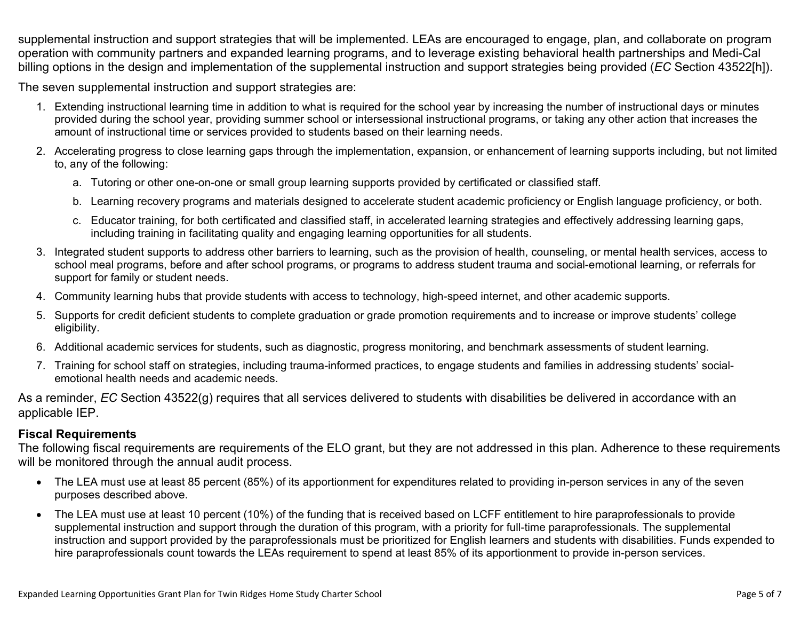supplemental instruction and support strategies that will be implemented. LEAs are encouraged to engage, plan, and collaborate on program operation with community partners and expanded learning programs, and to leverage existing behavioral health partnerships and Medi-Cal billing options in the design and implementation of the supplemental instruction and support strategies being provided (*EC* Section 43522[h]).

The seven supplemental instruction and support strategies are:

- 1. Extending instructional learning time in addition to what is required for the school year by increasing the number of instructional days or minutes provided during the school year, providing summer school or intersessional instructional programs, or taking any other action that increases the amount of instructional time or services provided to students based on their learning needs.
- 2. Accelerating progress to close learning gaps through the implementation, expansion, or enhancement of learning supports including, but not limited to, any of the following:
	- a. Tutoring or other one-on-one or small group learning supports provided by certificated or classified staff.
	- b. Learning recovery programs and materials designed to accelerate student academic proficiency or English language proficiency, or both.
	- c. Educator training, for both certificated and classified staff, in accelerated learning strategies and effectively addressing learning gaps, including training in facilitating quality and engaging learning opportunities for all students.
- 3. Integrated student supports to address other barriers to learning, such as the provision of health, counseling, or mental health services, access to school meal programs, before and after school programs, or programs to address student trauma and social-emotional learning, or referrals for support for family or student needs.
- 4. Community learning hubs that provide students with access to technology, high-speed internet, and other academic supports.
- 5. Supports for credit deficient students to complete graduation or grade promotion requirements and to increase or improve students' college eligibility.
- 6. Additional academic services for students, such as diagnostic, progress monitoring, and benchmark assessments of student learning.
- 7. Training for school staff on strategies, including trauma-informed practices, to engage students and families in addressing students' socialemotional health needs and academic needs.

As a reminder, *EC* Section 43522(g) requires that all services delivered to students with disabilities be delivered in accordance with an applicable IEP.

### **Fiscal Requirements**

The following fiscal requirements are requirements of the ELO grant, but they are not addressed in this plan. Adherence to these requirements will be monitored through the annual audit process.

- The LEA must use at least 85 percent (85%) of its apportionment for expenditures related to providing in-person services in any of the seven purposes described above.
- The LEA must use at least 10 percent (10%) of the funding that is received based on LCFF entitlement to hire paraprofessionals to provide supplemental instruction and support through the duration of this program, with a priority for full-time paraprofessionals. The supplemental instruction and support provided by the paraprofessionals must be prioritized for English learners and students with disabilities. Funds expended to hire paraprofessionals count towards the LEAs requirement to spend at least 85% of its apportionment to provide in-person services.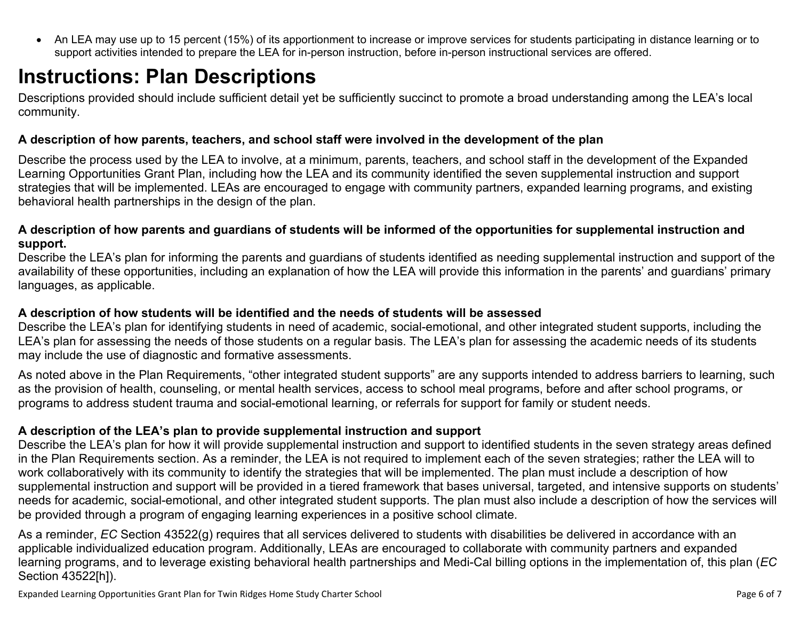<span id="page-5-0"></span> An LEA may use up to 15 percent (15%) of its apportionment to increase or improve services for students participating in distance learning or to support activities intended to prepare the LEA for in-person instruction, before in-person instructional services are offered.

# **Instructions: Plan Descriptions**

Descriptions provided should include sufficient detail yet be sufficiently succinct to promote a broad understanding among the LEA's local community.

#### <span id="page-5-1"></span>**A description of how parents, teachers, and school staff were involved in the development of the plan**

Describe the process used by the LEA to involve, at a minimum, parents, teachers, and school staff in the development of the Expanded Learning Opportunities Grant Plan, including how the LEA and its community identified the seven supplemental instruction and support strategies that will be implemented. LEAs are encouraged to engage with community partners, expanded learning programs, and existing behavioral health partnerships in the design of the plan.

#### <span id="page-5-2"></span>A description of how parents and guardians of students will be informed of the opportunities for supplemental instruction and **support.**

Describe the LEA's plan for informing the parents and guardians of students identified as needing supplemental instruction and support of the availability of these opportunities, including an explanation of how the LEA will provide this information in the parents' and guardians' primary languages, as applicable.

### <span id="page-5-3"></span>**A description of how students will be identified and the needs of students will be assessed**

Describe the LEA's plan for identifying students in need of academic, social-emotional, and other integrated student supports, including the LEA's plan for assessing the needs of those students on a regular basis. The LEA's plan for assessing the academic needs of its students may include the use of diagnostic and formative assessments.

As noted above in the Plan Requirements, "other integrated student supports" are any supports intended to address barriers to learning, such as the provision of health, counseling, or mental health services, access to school meal programs, before and after school programs, or programs to address student trauma and social-emotional learning, or referrals for support for family or student needs.

### <span id="page-5-4"></span>**A description of the LEA's plan to provide supplemental instruction and support**

Describe the LEA's plan for how it will provide supplemental instruction and support to identified students in the seven strategy areas defined in the Plan Requirements section. As a reminder, the LEA is not required to implement each of the seven strategies; rather the LEA will to work collaboratively with its community to identify the strategies that will be implemented. The plan must include a description of how supplemental instruction and support will be provided in a tiered framework that bases universal, targeted, and intensive supports on students' needs for academic, social-emotional, and other integrated student supports. The plan must also include a description of how the services will be provided through a program of engaging learning experiences in a positive school climate.

As a reminder, *EC* Section 43522(g) requires that all services delivered to students with disabilities be delivered in accordance with an applicable individualized education program. Additionally, LEAs are encouraged to collaborate with community partners and expanded learning programs, and to leverage existing behavioral health partnerships and Medi-Cal billing options in the implementation of, this plan (*EC* Section 43522[h]).